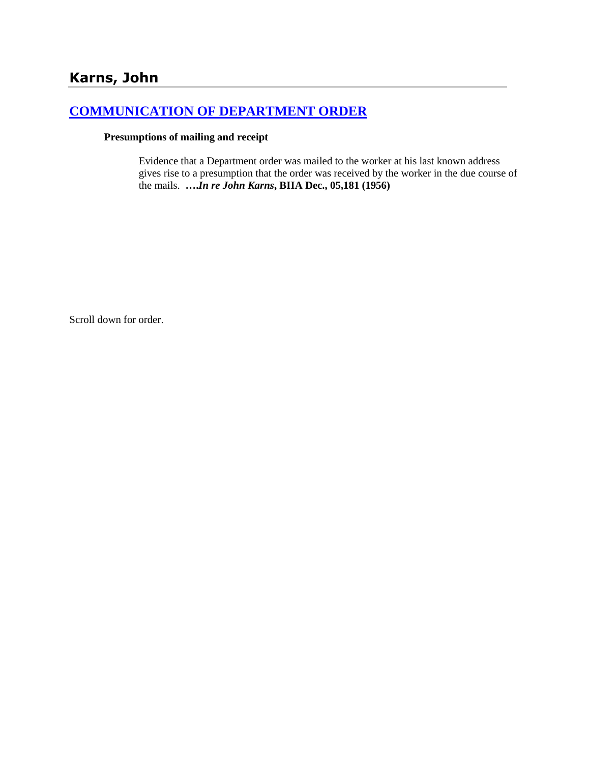# **[COMMUNICATION OF DEPARTMENT ORDER](http://www.biia.wa.gov/SDSubjectIndex.html#COMMUNICATION_OF_DEPARTMENT_ORDER)**

#### **Presumptions of mailing and receipt**

Evidence that a Department order was mailed to the worker at his last known address gives rise to a presumption that the order was received by the worker in the due course of the mails. **….***In re John Karns***, BIIA Dec., 05,181 (1956)** 

Scroll down for order.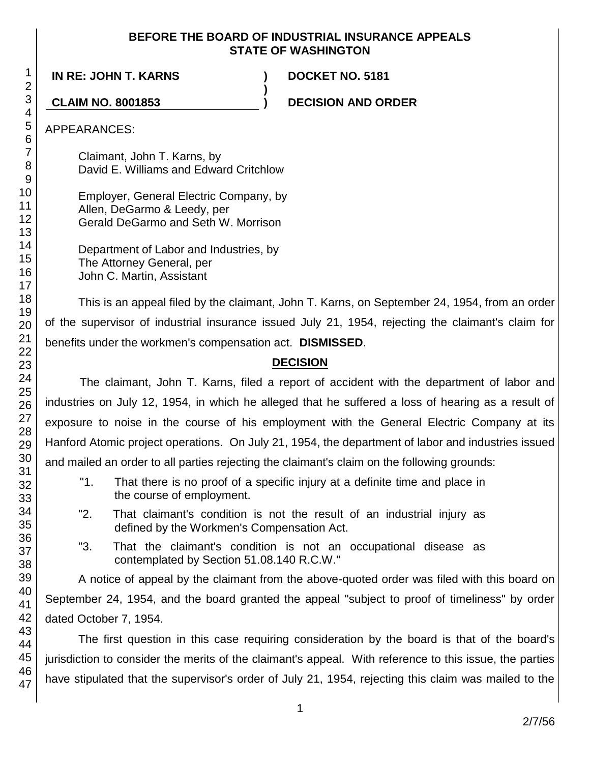#### **BEFORE THE BOARD OF INDUSTRIAL INSURANCE APPEALS STATE OF WASHINGTON**

**)**

**IN RE: JOHN T. KARNS ) DOCKET NO. 5181**

**CLAIM NO. 8001853 ) DECISION AND ORDER**

APPEARANCES:

Claimant, John T. Karns, by David E. Williams and Edward Critchlow

Employer, General Electric Company, by Allen, DeGarmo & Leedy, per Gerald DeGarmo and Seth W. Morrison

Department of Labor and Industries, by The Attorney General, per John C. Martin, Assistant

This is an appeal filed by the claimant, John T. Karns, on September 24, 1954, from an order of the supervisor of industrial insurance issued July 21, 1954, rejecting the claimant's claim for benefits under the workmen's compensation act. **DISMISSED**.

# **DECISION**

The claimant, John T. Karns, filed a report of accident with the department of labor and industries on July 12, 1954, in which he alleged that he suffered a loss of hearing as a result of exposure to noise in the course of his employment with the General Electric Company at its Hanford Atomic project operations. On July 21, 1954, the department of labor and industries issued and mailed an order to all parties rejecting the claimant's claim on the following grounds:

- "1. That there is no proof of a specific injury at a definite time and place in the course of employment.
- "2. That claimant's condition is not the result of an industrial injury as defined by the Workmen's Compensation Act.
- "3. That the claimant's condition is not an occupational disease as contemplated by Section 51.08.140 R.C.W."

A notice of appeal by the claimant from the above-quoted order was filed with this board on September 24, 1954, and the board granted the appeal "subject to proof of timeliness" by order dated October 7, 1954.

The first question in this case requiring consideration by the board is that of the board's jurisdiction to consider the merits of the claimant's appeal. With reference to this issue, the parties have stipulated that the supervisor's order of July 21, 1954, rejecting this claim was mailed to the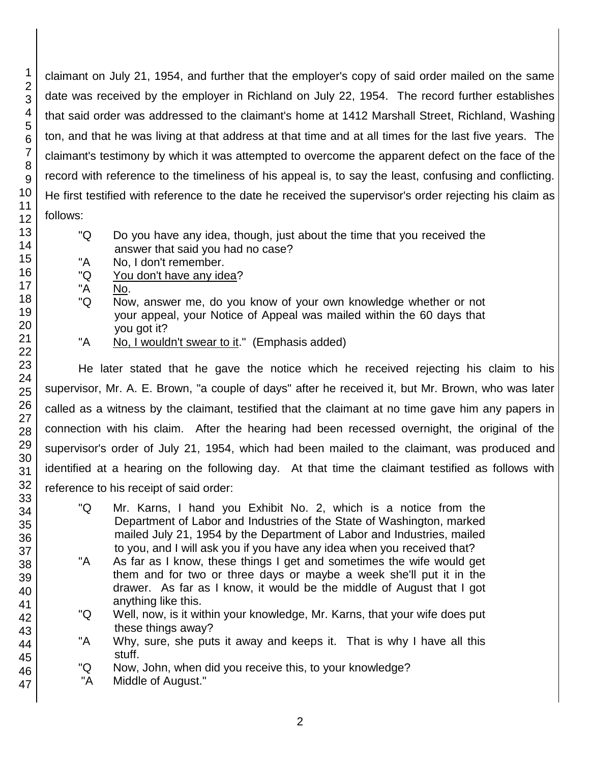claimant on July 21, 1954, and further that the employer's copy of said order mailed on the same date was received by the employer in Richland on July 22, 1954. The record further establishes that said order was addressed to the claimant's home at 1412 Marshall Street, Richland, Washing ton, and that he was living at that address at that time and at all times for the last five years. The claimant's testimony by which it was attempted to overcome the apparent defect on the face of the record with reference to the timeliness of his appeal is, to say the least, confusing and conflicting. He first testified with reference to the date he received the supervisor's order rejecting his claim as follows:

- "Q Do you have any idea, though, just about the time that you received the answer that said you had no case?
- "A No, I don't remember.
- "Q You don't have any idea?
- "A No.
- "Q Now, answer me, do you know of your own knowledge whether or not your appeal, your Notice of Appeal was mailed within the 60 days that you got it?
- "A No, I wouldn't swear to it." (Emphasis added)

He later stated that he gave the notice which he received rejecting his claim to his supervisor, Mr. A. E. Brown, "a couple of days" after he received it, but Mr. Brown, who was later called as a witness by the claimant, testified that the claimant at no time gave him any papers in connection with his claim. After the hearing had been recessed overnight, the original of the supervisor's order of July 21, 1954, which had been mailed to the claimant, was produced and identified at a hearing on the following day. At that time the claimant testified as follows with reference to his receipt of said order:

- "Q Mr. Karns, I hand you Exhibit No. 2, which is a notice from the Department of Labor and Industries of the State of Washington, marked mailed July 21, 1954 by the Department of Labor and Industries, mailed to you, and I will ask you if you have any idea when you received that?
- "A As far as I know, these things I get and sometimes the wife would get them and for two or three days or maybe a week she'll put it in the drawer. As far as I know, it would be the middle of August that I got anything like this.
- "Q Well, now, is it within your knowledge, Mr. Karns, that your wife does put these things away?
- "A Why, sure, she puts it away and keeps it. That is why I have all this stuff.
- "Q Now, John, when did you receive this, to your knowledge?
- "A Middle of August."

1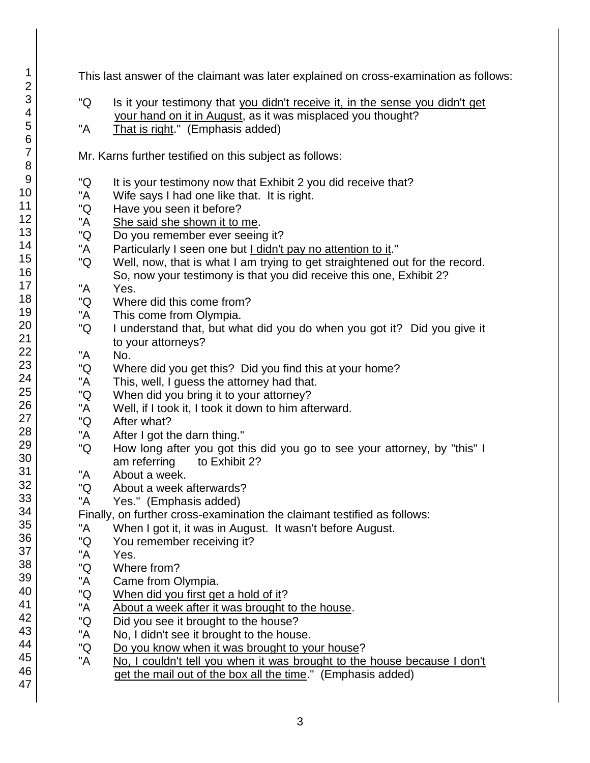47

This last answer of the claimant was later explained on cross-examination as follows:

- "Q Is it your testimony that you didn't receive it, in the sense you didn't get your hand on it in August, as it was misplaced you thought?
- "A That is right." (Emphasis added)

Mr. Karns further testified on this subject as follows:

- "Q It is your testimony now that Exhibit 2 you did receive that?
- "A Wife says I had one like that. It is right.
- "Q Have you seen it before?
- "A She said she shown it to me.
- "Q Do you remember ever seeing it?
- "A Particularly I seen one but I didn't pay no attention to it."
- "Q Well, now, that is what I am trying to get straightened out for the record. So, now your testimony is that you did receive this one, Exhibit 2?
- "A Yes.
- "Q Where did this come from?
- "A This come from Olympia.
- "Q I understand that, but what did you do when you got it? Did you give it to your attorneys?
- "A No.
- "Q Where did you get this? Did you find this at your home?
- "A This, well, I guess the attorney had that.
- "Q When did you bring it to your attorney?
- "A Well, if I took it, I took it down to him afterward.
- "Q After what?
- "A After I got the darn thing."
- "Q How long after you got this did you go to see your attorney, by "this" I am referring to Exhibit 2?
- "A About a week.
- "Q About a week afterwards?
- "A Yes." (Emphasis added)
- Finally, on further cross-examination the claimant testified as follows:
- "A When I got it, it was in August. It wasn't before August.
- "Q You remember receiving it?
- "A Yes.
- "Q Where from?
- "A Came from Olympia.
- "Q When did you first get a hold of it?
- "A About a week after it was brought to the house.
- "Q Did you see it brought to the house?
- "A No, I didn't see it brought to the house.
- "Q Do you know when it was brought to your house?
- "A No, I couldn't tell you when it was brought to the house because I don't get the mail out of the box all the time." (Emphasis added)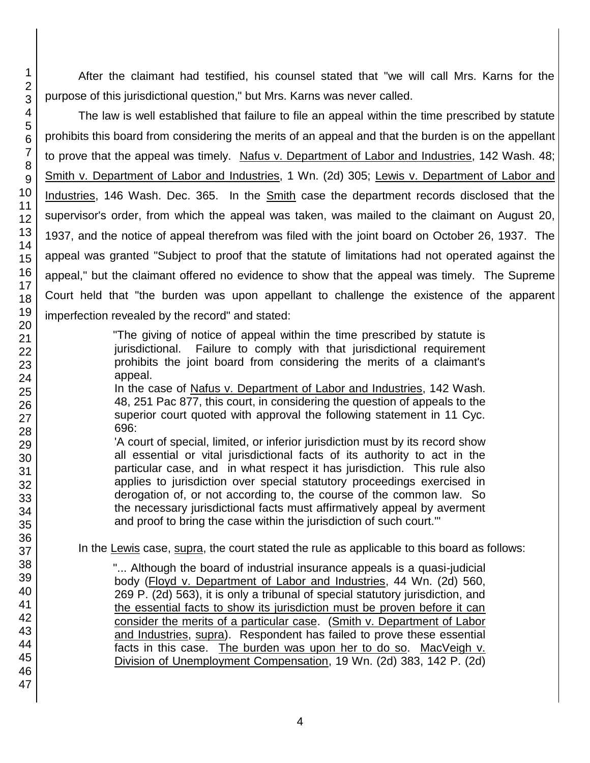46 47

After the claimant had testified, his counsel stated that "we will call Mrs. Karns for the purpose of this jurisdictional question," but Mrs. Karns was never called.

The law is well established that failure to file an appeal within the time prescribed by statute prohibits this board from considering the merits of an appeal and that the burden is on the appellant to prove that the appeal was timely. Nafus v. Department of Labor and Industries, 142 Wash. 48; Smith v. Department of Labor and Industries, 1 Wn. (2d) 305; Lewis v. Department of Labor and Industries, 146 Wash. Dec. 365. In the Smith case the department records disclosed that the supervisor's order, from which the appeal was taken, was mailed to the claimant on August 20, 1937, and the notice of appeal therefrom was filed with the joint board on October 26, 1937. The appeal was granted "Subject to proof that the statute of limitations had not operated against the appeal," but the claimant offered no evidence to show that the appeal was timely. The Supreme Court held that "the burden was upon appellant to challenge the existence of the apparent imperfection revealed by the record" and stated:

> "The giving of notice of appeal within the time prescribed by statute is jurisdictional. Failure to comply with that jurisdictional requirement prohibits the joint board from considering the merits of a claimant's appeal.

> In the case of Nafus v. Department of Labor and Industries, 142 Wash. 48, 251 Pac 877, this court, in considering the question of appeals to the superior court quoted with approval the following statement in 11 Cyc. 696:

> 'A court of special, limited, or inferior jurisdiction must by its record show all essential or vital jurisdictional facts of its authority to act in the particular case, and in what respect it has jurisdiction. This rule also applies to jurisdiction over special statutory proceedings exercised in derogation of, or not according to, the course of the common law. So the necessary jurisdictional facts must affirmatively appeal by averment and proof to bring the case within the jurisdiction of such court.'"

In the Lewis case, supra, the court stated the rule as applicable to this board as follows:

"... Although the board of industrial insurance appeals is a quasi-judicial body (Floyd v. Department of Labor and Industries, 44 Wn. (2d) 560, 269 P. (2d) 563), it is only a tribunal of special statutory jurisdiction, and the essential facts to show its jurisdiction must be proven before it can consider the merits of a particular case. (Smith v. Department of Labor and Industries, supra). Respondent has failed to prove these essential facts in this case. The burden was upon her to do so. MacVeigh v. Division of Unemployment Compensation, 19 Wn. (2d) 383, 142 P. (2d)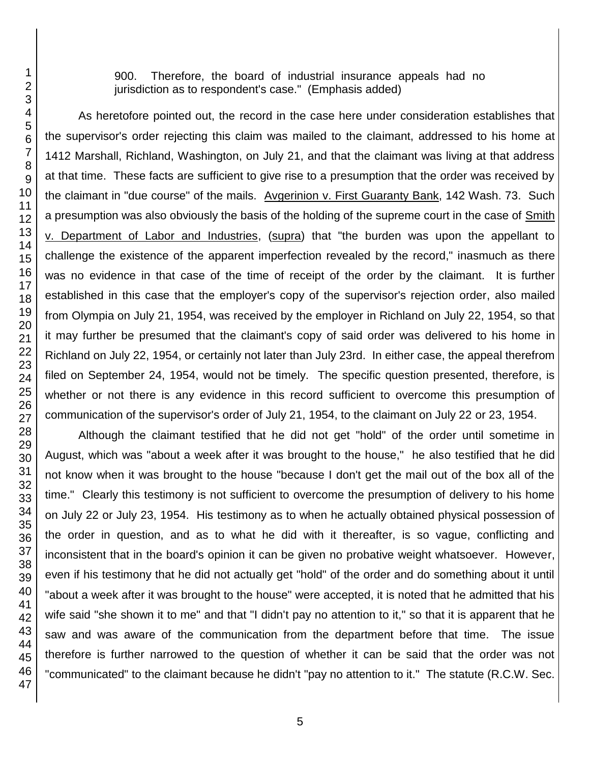900. Therefore, the board of industrial insurance appeals had no jurisdiction as to respondent's case." (Emphasis added)

As heretofore pointed out, the record in the case here under consideration establishes that the supervisor's order rejecting this claim was mailed to the claimant, addressed to his home at 1412 Marshall, Richland, Washington, on July 21, and that the claimant was living at that address at that time. These facts are sufficient to give rise to a presumption that the order was received by the claimant in "due course" of the mails. Avgerinion v. First Guaranty Bank, 142 Wash. 73. Such a presumption was also obviously the basis of the holding of the supreme court in the case of Smith v. Department of Labor and Industries, (supra) that "the burden was upon the appellant to challenge the existence of the apparent imperfection revealed by the record," inasmuch as there was no evidence in that case of the time of receipt of the order by the claimant. It is further established in this case that the employer's copy of the supervisor's rejection order, also mailed from Olympia on July 21, 1954, was received by the employer in Richland on July 22, 1954, so that it may further be presumed that the claimant's copy of said order was delivered to his home in Richland on July 22, 1954, or certainly not later than July 23rd. In either case, the appeal therefrom filed on September 24, 1954, would not be timely. The specific question presented, therefore, is whether or not there is any evidence in this record sufficient to overcome this presumption of communication of the supervisor's order of July 21, 1954, to the claimant on July 22 or 23, 1954.

Although the claimant testified that he did not get "hold" of the order until sometime in August, which was "about a week after it was brought to the house," he also testified that he did not know when it was brought to the house "because I don't get the mail out of the box all of the time." Clearly this testimony is not sufficient to overcome the presumption of delivery to his home on July 22 or July 23, 1954. His testimony as to when he actually obtained physical possession of the order in question, and as to what he did with it thereafter, is so vague, conflicting and inconsistent that in the board's opinion it can be given no probative weight whatsoever. However, even if his testimony that he did not actually get "hold" of the order and do something about it until "about a week after it was brought to the house" were accepted, it is noted that he admitted that his wife said "she shown it to me" and that "I didn't pay no attention to it," so that it is apparent that he saw and was aware of the communication from the department before that time. The issue therefore is further narrowed to the question of whether it can be said that the order was not "communicated" to the claimant because he didn't "pay no attention to it." The statute (R.C.W. Sec.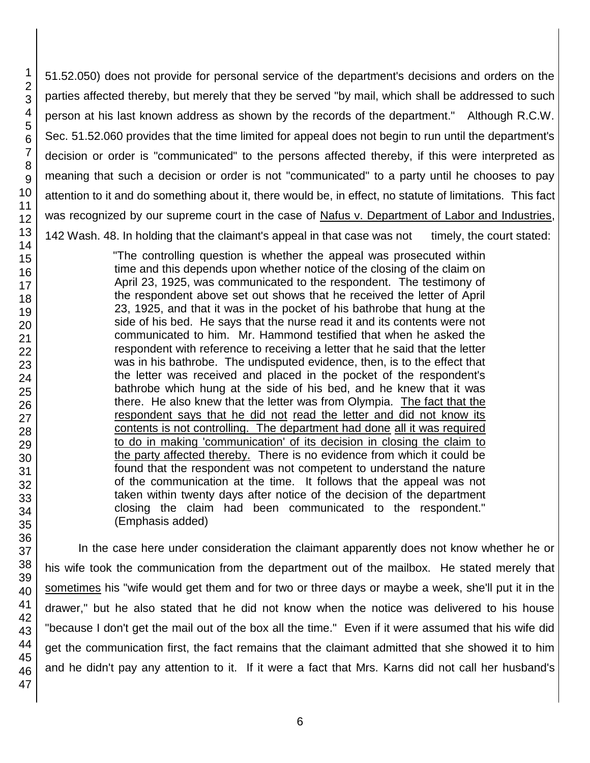51.52.050) does not provide for personal service of the department's decisions and orders on the parties affected thereby, but merely that they be served "by mail, which shall be addressed to such person at his last known address as shown by the records of the department." Although R.C.W. Sec. 51.52.060 provides that the time limited for appeal does not begin to run until the department's decision or order is "communicated" to the persons affected thereby, if this were interpreted as meaning that such a decision or order is not "communicated" to a party until he chooses to pay attention to it and do something about it, there would be, in effect, no statute of limitations. This fact was recognized by our supreme court in the case of Nafus v. Department of Labor and Industries, 142 Wash. 48. In holding that the claimant's appeal in that case was not timely, the court stated:

> "The controlling question is whether the appeal was prosecuted within time and this depends upon whether notice of the closing of the claim on April 23, 1925, was communicated to the respondent. The testimony of the respondent above set out shows that he received the letter of April 23, 1925, and that it was in the pocket of his bathrobe that hung at the side of his bed. He says that the nurse read it and its contents were not communicated to him. Mr. Hammond testified that when he asked the respondent with reference to receiving a letter that he said that the letter was in his bathrobe. The undisputed evidence, then, is to the effect that the letter was received and placed in the pocket of the respondent's bathrobe which hung at the side of his bed, and he knew that it was there. He also knew that the letter was from Olympia. The fact that the respondent says that he did not read the letter and did not know its contents is not controlling. The department had done all it was required to do in making 'communication' of its decision in closing the claim to the party affected thereby. There is no evidence from which it could be found that the respondent was not competent to understand the nature of the communication at the time. It follows that the appeal was not taken within twenty days after notice of the decision of the department closing the claim had been communicated to the respondent." (Emphasis added)

In the case here under consideration the claimant apparently does not know whether he or his wife took the communication from the department out of the mailbox. He stated merely that sometimes his "wife would get them and for two or three days or maybe a week, she'll put it in the drawer," but he also stated that he did not know when the notice was delivered to his house "because I don't get the mail out of the box all the time." Even if it were assumed that his wife did get the communication first, the fact remains that the claimant admitted that she showed it to him and he didn't pay any attention to it. If it were a fact that Mrs. Karns did not call her husband's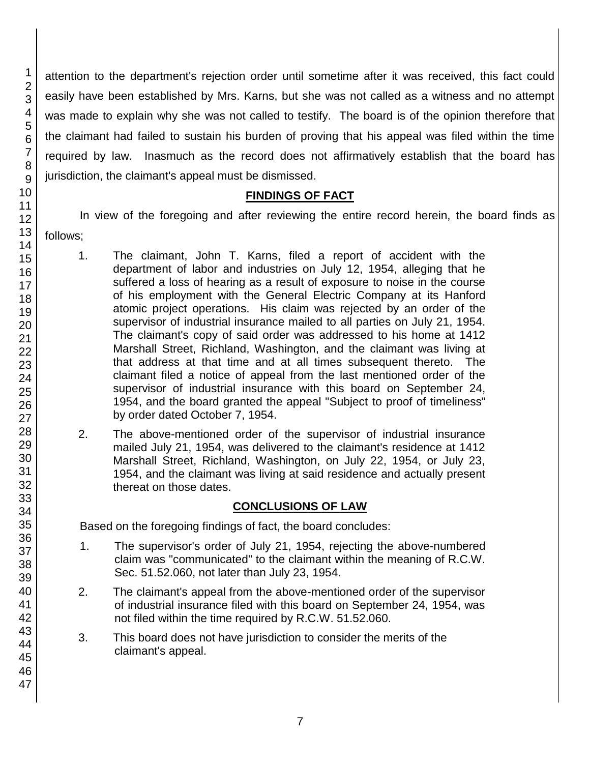attention to the department's rejection order until sometime after it was received, this fact could easily have been established by Mrs. Karns, but she was not called as a witness and no attempt was made to explain why she was not called to testify. The board is of the opinion therefore that the claimant had failed to sustain his burden of proving that his appeal was filed within the time required by law. Inasmuch as the record does not affirmatively establish that the board has jurisdiction, the claimant's appeal must be dismissed.

### **FINDINGS OF FACT**

In view of the foregoing and after reviewing the entire record herein, the board finds as follows;

- 1. The claimant, John T. Karns, filed a report of accident with the department of labor and industries on July 12, 1954, alleging that he suffered a loss of hearing as a result of exposure to noise in the course of his employment with the General Electric Company at its Hanford atomic project operations. His claim was rejected by an order of the supervisor of industrial insurance mailed to all parties on July 21, 1954. The claimant's copy of said order was addressed to his home at 1412 Marshall Street, Richland, Washington, and the claimant was living at that address at that time and at all times subsequent thereto. The claimant filed a notice of appeal from the last mentioned order of the supervisor of industrial insurance with this board on September 24, 1954, and the board granted the appeal "Subject to proof of timeliness" by order dated October 7, 1954.
- 2. The above-mentioned order of the supervisor of industrial insurance mailed July 21, 1954, was delivered to the claimant's residence at 1412 Marshall Street, Richland, Washington, on July 22, 1954, or July 23, 1954, and the claimant was living at said residence and actually present thereat on those dates.

# **CONCLUSIONS OF LAW**

Based on the foregoing findings of fact, the board concludes:

- 1. The supervisor's order of July 21, 1954, rejecting the above-numbered claim was "communicated" to the claimant within the meaning of R.C.W. Sec. 51.52.060, not later than July 23, 1954.
- 2. The claimant's appeal from the above-mentioned order of the supervisor of industrial insurance filed with this board on September 24, 1954, was not filed within the time required by R.C.W. 51.52.060.
- 3. This board does not have jurisdiction to consider the merits of the claimant's appeal.